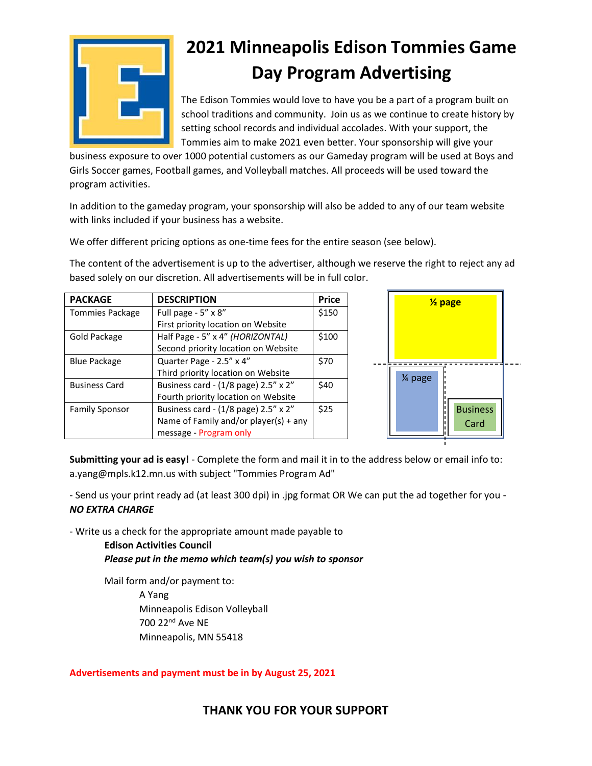

# **2021 Minneapolis Edison Tommies Game Day Program Advertising**

The Edison Tommies would love to have you be a part of a program built on school traditions and community. Join us as we continue to create history by setting school records and individual accolades. With your support, the Tommies aim to make 2021 even better. Your sponsorship will give your

business exposure to over 1000 potential customers as our Gameday program will be used at Boys and Girls Soccer games, Football games, and Volleyball matches. All proceeds will be used toward the program activities.

In addition to the gameday program, your sponsorship will also be added to any of our team website with links included if your business has a website.

We offer different pricing options as one-time fees for the entire season (see below).

The content of the advertisement is up to the advertiser, although we reserve the right to reject any ad based solely on our discretion. All advertisements will be in full color.

| <b>PACKAGE</b>        | <b>DESCRIPTION</b>                    | <b>Price</b> |
|-----------------------|---------------------------------------|--------------|
| Tommies Package       | Full page - 5" x 8"                   | \$150        |
|                       | First priority location on Website    |              |
| Gold Package          | Half Page - 5" x 4" (HORIZONTAL)      | \$100        |
|                       | Second priority location on Website   |              |
| <b>Blue Package</b>   | Quarter Page - 2.5" x 4"              | \$70         |
|                       | Third priority location on Website    |              |
| <b>Business Card</b>  | Business card - (1/8 page) 2.5" x 2"  | \$40         |
|                       | Fourth priority location on Website   |              |
| <b>Family Sponsor</b> | Business card - (1/8 page) 2.5" x 2"  | \$25         |
|                       | Name of Family and/or player(s) + any |              |
|                       | message - Program only                |              |



**Submitting your ad is easy!** - Complete the form and mail it in to the address below or email info to: a.yang@mpls.k12.mn.us with subject "Tommies Program Ad"

- Send us your print ready ad (at least 300 dpi) in .jpg format OR We can put the ad together for you - *NO EXTRA CHARGE* 

- Write us a check for the appropriate amount made payable to

**Edison Activities Council** *Please put in the memo which team(s) you wish to sponsor*

Mail form and/or payment to: A Yang Minneapolis Edison Volleyball 700 22nd Ave NE Minneapolis, MN 55418

#### **Advertisements and payment must be in by August 25, 2021**

## **THANK YOU FOR YOUR SUPPORT**